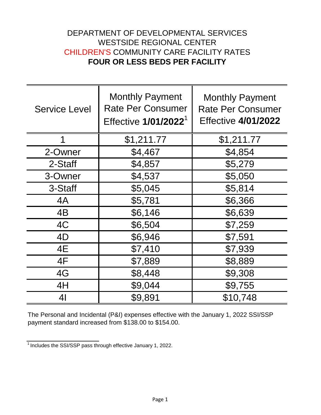## DEPARTMENT OF DEVELOPMENTAL SERVICES WESTSIDE REGIONAL CENTER CHILDREN'S COMMUNITY CARE FACILITY RATES **FOUR OR LESS BEDS PER FACILITY**

| <b>Service Level</b> | <b>Monthly Payment</b><br><b>Rate Per Consumer</b><br>Effective 1/01/2022 <sup>1</sup> | <b>Monthly Payment</b><br><b>Rate Per Consumer</b><br><b>Effective 4/01/2022</b> |
|----------------------|----------------------------------------------------------------------------------------|----------------------------------------------------------------------------------|
| 1                    | \$1,211.77                                                                             | \$1,211.77                                                                       |
| 2-Owner              | \$4,467                                                                                | \$4,854                                                                          |
| 2-Staff              | \$4,857                                                                                | \$5,279                                                                          |
| 3-Owner              | \$4,537                                                                                | \$5,050                                                                          |
| 3-Staff              | \$5,045                                                                                | \$5,814                                                                          |
| 4A                   | \$5,781                                                                                | \$6,366                                                                          |
| 4B                   | \$6,146                                                                                | \$6,639                                                                          |
| 4C                   | \$6,504                                                                                | \$7,259                                                                          |
| 4D                   | \$6,946                                                                                | \$7,591                                                                          |
| 4E                   | \$7,410                                                                                | \$7,939                                                                          |
| 4F                   | \$7,889                                                                                | \$8,889                                                                          |
| 4G                   | \$8,448                                                                                | \$9,308                                                                          |
| 4H                   | \$9,044                                                                                | \$9,755                                                                          |
| 4 <sub>l</sub>       | \$9,891                                                                                | \$10,748                                                                         |

The Personal and Incidental (P&I) expenses effective with the January 1, 2022 SSI/SSP payment standard increased from \$138.00 to \$154.00.

 $1$ Includes the SSI/SSP pass through effective January 1, 2022.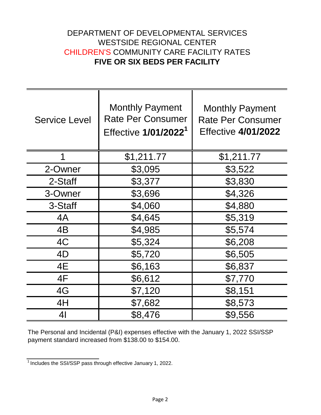## DEPARTMENT OF DEVELOPMENTAL SERVICES WESTSIDE REGIONAL CENTER CHILDREN'S COMMUNITY CARE FACILITY RATES **FIVE OR SIX BEDS PER FACILITY**

| <b>Service Level</b> | <b>Monthly Payment</b><br><b>Rate Per Consumer</b><br>Effective 1/01/2022 <sup>1</sup> | <b>Monthly Payment</b><br><b>Rate Per Consumer</b><br><b>Effective 4/01/2022</b> |
|----------------------|----------------------------------------------------------------------------------------|----------------------------------------------------------------------------------|
| 1                    | \$1,211.77                                                                             | \$1,211.77                                                                       |
| 2-Owner              | \$3,095                                                                                | \$3,522                                                                          |
| 2-Staff              | \$3,377                                                                                | \$3,830                                                                          |
| 3-Owner              | \$3,696                                                                                | \$4,326                                                                          |
| 3-Staff              | \$4,060                                                                                | \$4,880                                                                          |
| 4A                   | \$4,645                                                                                | \$5,319                                                                          |
| 4B                   | \$4,985                                                                                | \$5,574                                                                          |
| 4C                   | \$5,324                                                                                | \$6,208                                                                          |
| 4D                   | \$5,720                                                                                | \$6,505                                                                          |
| 4E                   | \$6,163                                                                                | \$6,837                                                                          |
| 4F                   | \$6,612                                                                                | \$7,770                                                                          |
| 4G                   | \$7,120                                                                                | \$8,151                                                                          |
| 4H                   | \$7,682                                                                                | \$8,573                                                                          |
| 4 <sub>l</sub>       | \$8,476                                                                                | \$9,556                                                                          |

The Personal and Incidental (P&I) expenses effective with the January 1, 2022 SSI/SSP payment standard increased from \$138.00 to \$154.00.

 $\frac{1}{1}$  Includes the SSI/SSP pass through effective January 1, 2022.